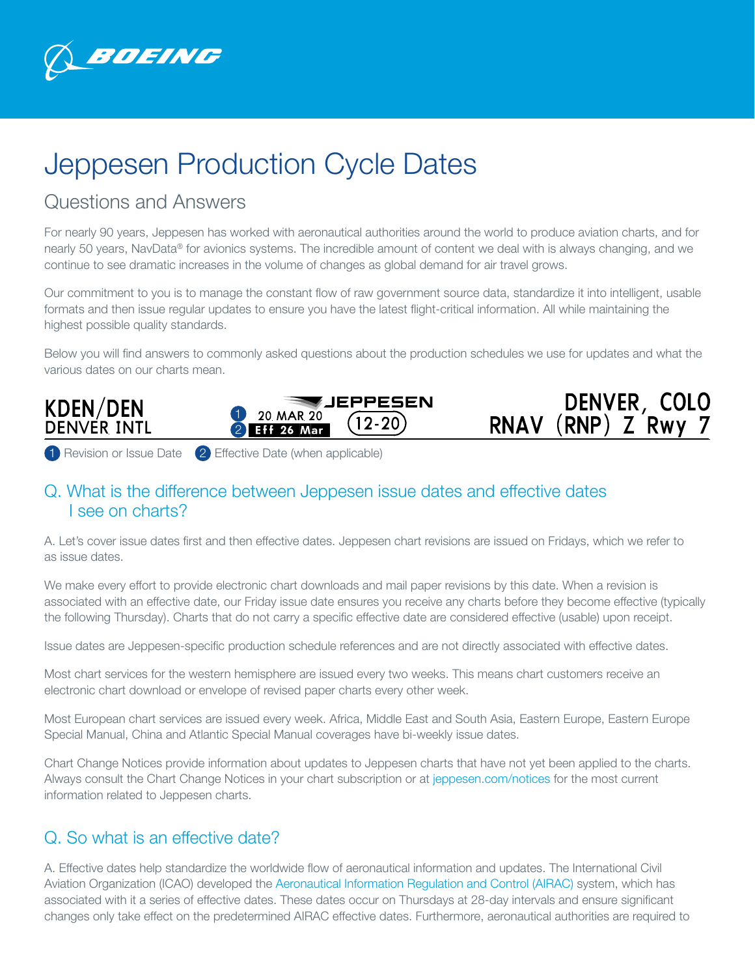

# Jeppesen Production Cycle Dates

## Questions and Answers

For nearly 90 years, Jeppesen has worked with aeronautical authorities around the world to produce aviation charts, and for nearly 50 years, NavData® for avionics systems. The incredible amount of content we deal with is always changing, and we continue to see dramatic increases in the volume of changes as global demand for air travel grows.

Our commitment to you is to manage the constant flow of raw government source data, standardize it into intelligent, usable formats and then issue regular updates to ensure you have the latest flight-critical information. All while maintaining the highest possible quality standards.

Below you will find answers to commonly asked questions about the production schedules we use for updates and what the various dates on our charts mean.





1 Revision or Issue Date 2 Effective Date (when applicable)

#### Q. What is the difference between Jeppesen issue dates and effective dates I see on charts?

A. Let's cover issue dates first and then effective dates. Jeppesen chart revisions are issued on Fridays, which we refer to as issue dates.

We make every effort to provide electronic chart downloads and mail paper revisions by this date. When a revision is associated with an effective date, our Friday issue date ensures you receive any charts before they become effective (typically the following Thursday). Charts that do not carry a specific effective date are considered effective (usable) upon receipt.

Issue dates are Jeppesen-specific production schedule references and are not directly associated with effective dates.

Most chart services for the western hemisphere are issued every two weeks. This means chart customers receive an electronic chart download or envelope of revised paper charts every other week.

Most European chart services are issued every week. Africa, Middle East and South Asia, Eastern Europe, Eastern Europe Special Manual, China and Atlantic Special Manual coverages have bi-weekly issue dates.

Chart Change Notices provide information about updates to Jeppesen charts that have not yet been applied to the charts. Always consult the Chart Change Notices in your chart subscription or at [jeppesen.com/notices](http://www.jeppesen.com/notices) for the most current information related to Jeppesen charts.

#### Q. So what is an effective date?

A. Effective dates help standardize the worldwide flow of aeronautical information and updates. The International Civil Aviation Organization (ICAO) developed the [Aeronautical Information Regulation and Control \(AIRAC\)](https://www.icao.int/airnavigation/information-management/Pages/AIRAC.aspx) system, which has associated with it a series of effective dates. These dates occur on Thursdays at 28-day intervals and ensure significant changes only take effect on the predetermined AIRAC effective dates. Furthermore, aeronautical authorities are required to